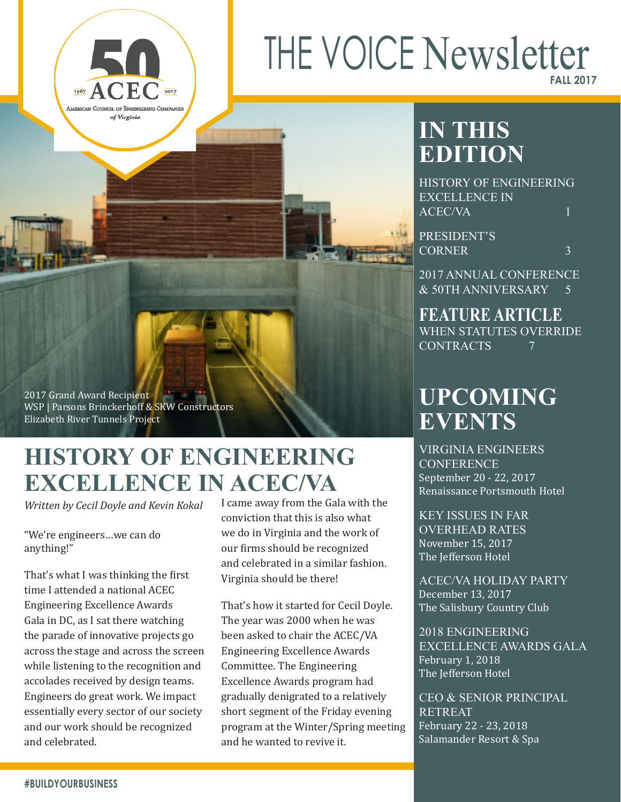# THE VOICE Newsletter **FALL 2017**

# **IN THIS EDITION**

HISTORY OF ENGINEERING EXCELLENCE IN ACEC/VA 1

PRESIDENT'S CORNER 3

2017 ANNUAL CONFERENCE & 50TH ANNIVERSARY 5

**FEATURE ARTICLE** WHEN STATUTES OVERRIDE CONTRACTS 7

# **UPCOMING EVENTS**

VIRGINIA ENGINEERS **CONFERENCE** September 20 - 22, 2017 Renaissance Portsmouth Hotel

KEY ISSUES IN FAR OVERHEAD RATES November 15, 2017 The Jefferson Hotel

ACEC/VA HOLIDAY PARTY December 13, 2017 The Salisbury Country Club

2018 ENGINEERING EXCELLENCE AWARDS GALA February 1, 2018 The Jefferson Hotel

CEO & SENIOR PRINCIPAL RETREAT February 22 - 23, 2018 Salamander Resort & Spa

2017 Grand Award Recipient WSP | Parsons Brinckerhoff & SKW Constructors Elizabeth River Tunnels Project

# **HISTORY OF ENGINEERING EXCELLENCE IN ACEC/VA**

*Written by Cecil Doyle and Kevin Kokal*

"We're engineers…we can do anything!"

 $\overline{\mathbf{H}^{\text{67}}}$ 

AMERICAN COUNCIL OF ENGINEERING COMPANIES of Virginia

That's what I was thinking the first time I attended a national ACEC Engineering Excellence Awards Gala in DC, as I sat there watching the parade of innovative projects go across the stage and across the screen while listening to the recognition and accolades received by design teams. Engineers do great work. We impact essentially every sector of our society and our work should be recognized and celebrated.

I came away from the Gala with the conviction that this is also what we do in Virginia and the work of our firms should be recognized and celebrated in a similar fashion. Virginia should be there!

That's how it started for Cecil Doyle. The year was 2000 when he was been asked to chair the ACEC/VA Engineering Excellence Awards Committee. The Engineering Excellence Awards program had gradually denigrated to a relatively short segment of the Friday evening program at the Winter/Spring meeting and he wanted to revive it.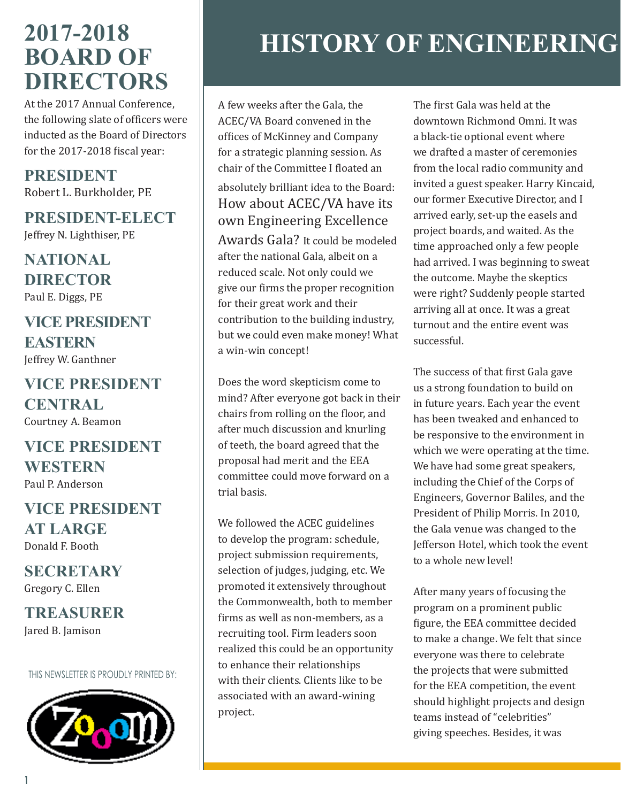# **2017-2018 BOARD OF DIRECTORS**

At the 2017 Annual Conference, the following slate of officers were inducted as the Board of Directors for the 2017-2018 fiscal year:

**PRESIDENT** Robert L. Burkholder, PE

**PRESIDENT-ELECT** Jeffrey N. Lighthiser, PE

**NATIONAL DIRECTOR** Paul E. Diggs, PE

## **VICE PRESIDENT EASTERN** Jeffrey W. Ganthner

**VICE PRESIDENT CENTRAL** Courtney A. Beamon

## **VICE PRESIDENT WESTERN** Paul P. Anderson

# **VICE PRESIDENT AT LARGE** Donald F. Booth

**SECRETARY** Gregory C. Ellen

**TREASURER** Jared B. Jamison

THIS NEWSLETTER IS PROUDLY PRINTED BY:



# **HISTORY OF ENGINEERING**

A few weeks after the Gala, the ACEC/VA Board convened in the offices of McKinney and Company for a strategic planning session. As chair of the Committee I floated an

## absolutely brilliant idea to the Board: How about ACEC/VA have its own Engineering Excellence

Awards Gala? It could be modeled after the national Gala, albeit on a reduced scale. Not only could we give our firms the proper recognition for their great work and their contribution to the building industry, but we could even make money! What a win-win concept!

Does the word skepticism come to mind? After everyone got back in their chairs from rolling on the floor, and after much discussion and knurling of teeth, the board agreed that the proposal had merit and the EEA committee could move forward on a trial basis.

We followed the ACEC guidelines to develop the program: schedule, project submission requirements, selection of judges, judging, etc. We promoted it extensively throughout the Commonwealth, both to member firms as well as non-members, as a recruiting tool. Firm leaders soon realized this could be an opportunity to enhance their relationships with their clients. Clients like to be associated with an award-wining project.

The first Gala was held at the downtown Richmond Omni. It was a black-tie optional event where we drafted a master of ceremonies from the local radio community and invited a guest speaker. Harry Kincaid, our former Executive Director, and I arrived early, set-up the easels and project boards, and waited. As the time approached only a few people had arrived. I was beginning to sweat the outcome. Maybe the skeptics were right? Suddenly people started arriving all at once. It was a great turnout and the entire event was successful.

The success of that first Gala gave us a strong foundation to build on in future years. Each year the event has been tweaked and enhanced to be responsive to the environment in which we were operating at the time. We have had some great speakers, including the Chief of the Corps of Engineers, Governor Baliles, and the President of Philip Morris. In 2010, the Gala venue was changed to the Jefferson Hotel, which took the event to a whole new level!

After many years of focusing the program on a prominent public figure, the EEA committee decided to make a change. We felt that since everyone was there to celebrate the projects that were submitted for the EEA competition, the event should highlight projects and design teams instead of "celebrities" giving speeches. Besides, it was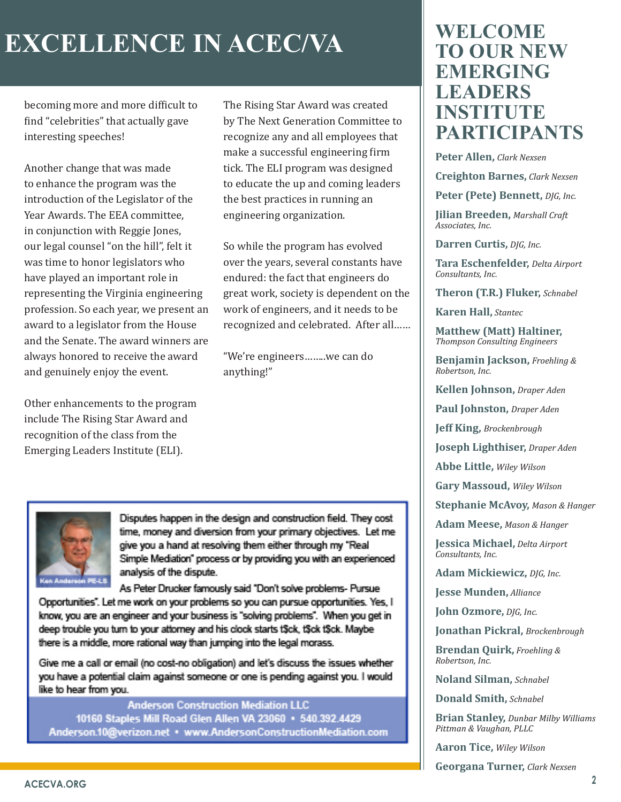# **EXCELLENCE IN ACEC/VA**

becoming more and more difficult to find "celebrities" that actually gave interesting speeches!

Another change that was made to enhance the program was the introduction of the Legislator of the Year Awards. The EEA committee, in conjunction with Reggie Jones, our legal counsel "on the hill", felt it was time to honor legislators who have played an important role in representing the Virginia engineering profession. So each year, we present an award to a legislator from the House and the Senate. The award winners are always honored to receive the award and genuinely enjoy the event.

Other enhancements to the program include The Rising Star Award and recognition of the class from the Emerging Leaders Institute (ELI).

The Rising Star Award was created by The Next Generation Committee to recognize any and all employees that make a successful engineering firm tick. The ELI program was designed to educate the up and coming leaders the best practices in running an engineering organization.

So while the program has evolved over the years, several constants have endured: the fact that engineers do great work, society is dependent on the work of engineers, and it needs to be recognized and celebrated. After all……

"We're engineers……..we can do anything!"



Disputes happen in the design and construction field. They cost time, money and diversion from your primary objectives. Let me give you a hand at resolving them either through my "Real Simple Mediation" process or by providing you with an experienced analysis of the dispute.

As Peter Drucker famously said "Don't solve problems- Pursue Opportunities". Let me work on your problems so you can pursue opportunities. Yes, I know, you are an engineer and your business is "solving problems". When you get in deep trouble you turn to your attorney and his clock starts t\$ck, t\$ck t\$ck. Maybe there is a middle, more rational way than jumping into the legal morass.

Give me a call or email (no cost-no obligation) and let's discuss the issues whether you have a potential claim against someone or one is pending against you. I would like to hear from you.

**Anderson Construction Mediation LLC** 10160 Staples Mill Road Glen Allen VA 23060 · 540.392.4429 Anderson.10@verizon.net . www.AndersonConstructionMediation.com

# **WELCOME TO OUR NEW EMERGING LEADERS INSTITUTE PARTICIPANTS**

**Peter Allen,** *Clark Nexsen*

**Creighton Barnes,** *Clark Nexsen*

**Peter (Pete) Bennett,** *DJG, Inc.*

**Jilian Breeden,** *Marshall Craft Associates, Inc.*

**Darren Curtis,** *DJG, Inc.*

**Tara Eschenfelder,** *Delta Airport Consultants, Inc.*

**Theron (T.R.) Fluker,** *Schnabel*

**Karen Hall,** *Stantec*

**Matthew (Matt) Haltiner,**  *Thompson Consulting Engineers*

**Benjamin Jackson,** *Froehling & Robertson, Inc.*

**Kellen Johnson,** *Draper Aden*

**Paul Johnston,** *Draper Aden*

**Jeff King,** *Brockenbrough*

**Joseph Lighthiser,** *Draper Aden*

**Abbe Little,** *Wiley Wilson*

**Gary Massoud,** *Wiley Wilson*

**Stephanie McAvoy,** *Mason & Hanger*

**Adam Meese,** *Mason & Hanger*

**Jessica Michael,** *Delta Airport Consultants, Inc.*

**Adam Mickiewicz,** *DJG, Inc.*

**Jesse Munden,** *Alliance*

**John Ozmore,** *DJG, Inc.*

**Jonathan Pickral,** *Brockenbrough*

**Brendan Quirk,** *Froehling & Robertson, Inc.*

**Noland Silman,** *Schnabel*

**Donald Smith,** *Schnabel*

**Brian Stanley,** *Dunbar Milby Williams Pittman & Vaughan, PLLC*

**Aaron Tice,** *Wiley Wilson*

**Georgana Turner,** *Clark Nexsen*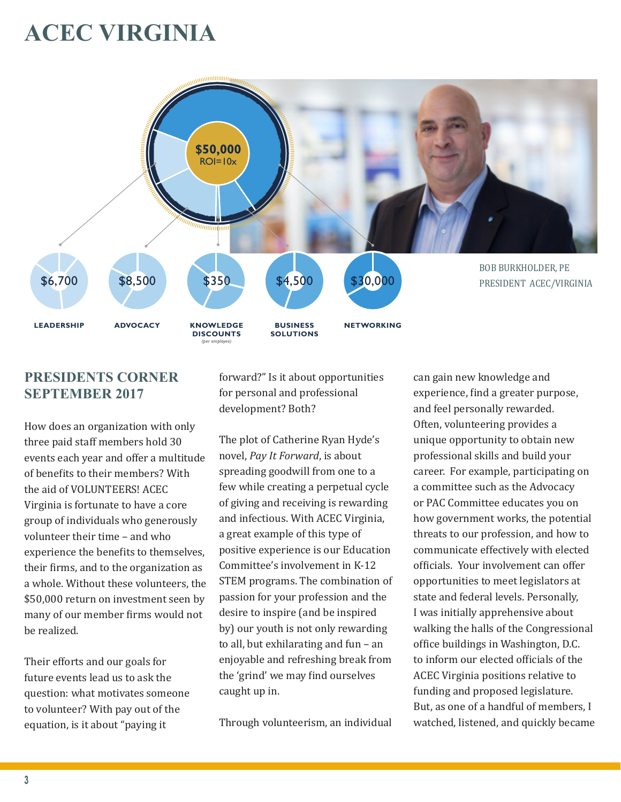# **ACEC VIRGINIA**



## **PRESIDENTS CORNER SEPTEMBER 2017**

How does an organization with only three paid staff members hold 30 events each year and offer a multitude of benefits to their members? With the aid of VOLUNTEERS! ACEC Virginia is fortunate to have a core group of individuals who generously volunteer their time – and who experience the benefits to themselves, their firms, and to the organization as a whole. Without these volunteers, the \$50,000 return on investment seen by many of our member firms would not be realized.

Their efforts and our goals for future events lead us to ask the question: what motivates someone to volunteer? With pay out of the equation, is it about "paying it

forward?" Is it about opportunities for personal and professional development? Both?

The plot of Catherine Ryan Hyde's novel, *Pay It Forward*, is about spreading goodwill from one to a few while creating a perpetual cycle of giving and receiving is rewarding and infectious. With ACEC Virginia, a great example of this type of positive experience is our Education Committee's involvement in K-12 STEM programs. The combination of passion for your profession and the desire to inspire (and be inspired by) our youth is not only rewarding to all, but exhilarating and fun – an enjoyable and refreshing break from the 'grind' we may find ourselves caught up in.

Through volunteerism, an individual

can gain new knowledge and experience, find a greater purpose, and feel personally rewarded. Often, volunteering provides a unique opportunity to obtain new professional skills and build your career. For example, participating on a committee such as the Advocacy or PAC Committee educates you on how government works, the potential threats to our profession, and how to communicate effectively with elected officials. Your involvement can offer opportunities to meet legislators at state and federal levels. Personally, I was initially apprehensive about walking the halls of the Congressional office buildings in Washington, D.C. to inform our elected officials of the ACEC Virginia positions relative to funding and proposed legislature. But, as one of a handful of members, I watched, listened, and quickly became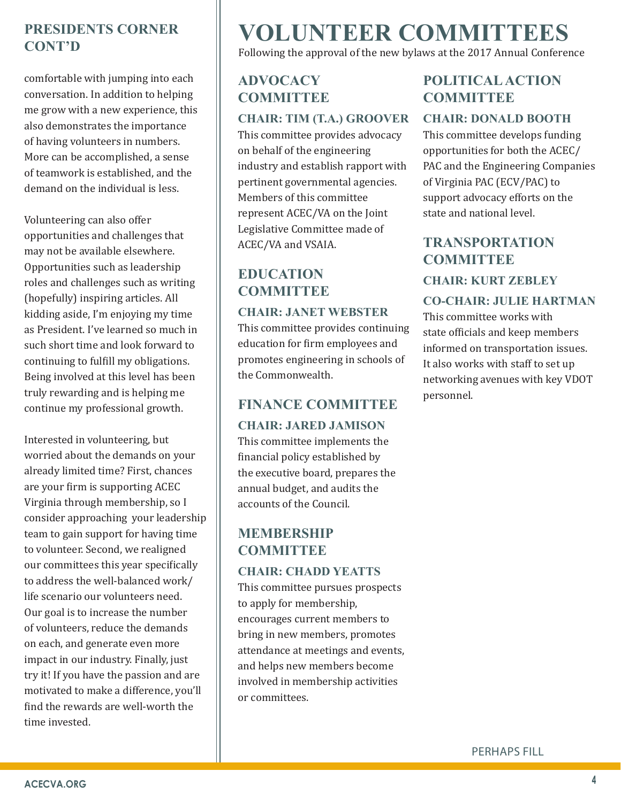## **PRESIDENTS CORNER CONT'D**

comfortable with jumping into each conversation. In addition to helping me grow with a new experience, this also demonstrates the importance of having volunteers in numbers. More can be accomplished, a sense of teamwork is established, and the demand on the individual is less.

Volunteering can also offer opportunities and challenges that may not be available elsewhere. Opportunities such as leadership roles and challenges such as writing (hopefully) inspiring articles. All kidding aside, I'm enjoying my time as President. I've learned so much in such short time and look forward to continuing to fulfill my obligations. Being involved at this level has been truly rewarding and is helping me continue my professional growth.

Interested in volunteering, but worried about the demands on your already limited time? First, chances are your firm is supporting ACEC Virginia through membership, so I consider approaching your leadership team to gain support for having time to volunteer. Second, we realigned our committees this year specifically to address the well-balanced work/ life scenario our volunteers need. Our goal is to increase the number of volunteers, reduce the demands on each, and generate even more impact in our industry. Finally, just try it! If you have the passion and are motivated to make a difference, you'll find the rewards are well-worth the time invested.

# **VOLUNTEER COMMITTEES**

Following the approval of the new bylaws at the 2017 Annual Conference

## **ADVOCACY COMMITTEE**

#### **CHAIR: TIM (T.A.) GROOVER**

This committee provides advocacy on behalf of the engineering industry and establish rapport with pertinent governmental agencies. Members of this committee represent ACEC/VA on the Joint Legislative Committee made of ACEC/VA and VSAIA.

## **EDUCATION COMMITTEE**

#### **CHAIR: JANET WEBSTER**

This committee provides continuing education for firm employees and promotes engineering in schools of the Commonwealth.

## **FINANCE COMMITTEE**

#### **CHAIR: JARED JAMISON**

This committee implements the financial policy established by the executive board, prepares the annual budget, and audits the accounts of the Council.

## **MEMBERSHIP COMMITTEE**

#### **CHAIR: CHADD YEATTS**

This committee pursues prospects to apply for membership, encourages current members to bring in new members, promotes attendance at meetings and events, and helps new members become involved in membership activities or committees.

## **POLITICAL ACTION COMMITTEE**

#### **CHAIR: DONALD BOOTH**

This committee develops funding opportunities for both the ACEC/ PAC and the Engineering Companies of Virginia PAC (ECV/PAC) to support advocacy efforts on the state and national level.

## **TRANSPORTATION COMMITTEE CHAIR: KURT ZEBLEY**

#### **CO-CHAIR: JULIE HARTMAN**

This committee works with state officials and keep members informed on transportation issues. It also works with staff to set up networking avenues with key VDOT personnel.

PERHAPS FILL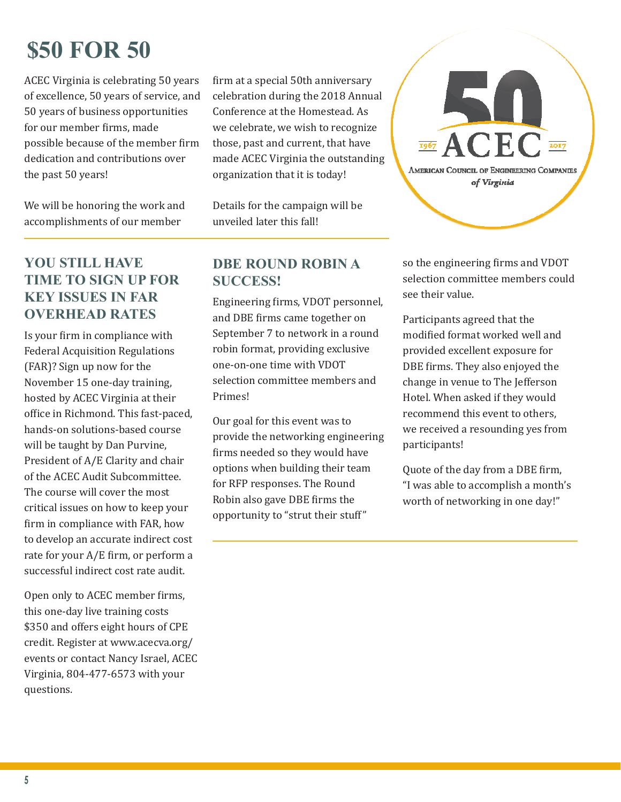# **\$50 FOR 50**

ACEC Virginia is celebrating 50 years of excellence, 50 years of service, and 50 years of business opportunities for our member firms, made possible because of the member firm dedication and contributions over the past 50 years!

We will be honoring the work and accomplishments of our member

## **YOU STILL HAVE TIME TO SIGN UP FOR KEY ISSUES IN FAR OVERHEAD RATES**

Is your firm in compliance with Federal Acquisition Regulations (FAR)? Sign up now for the November 15 one-day training, hosted by ACEC Virginia at their office in Richmond. This fast-paced, hands-on solutions-based course will be taught by Dan Purvine, President of A/E Clarity and chair of the ACEC Audit Subcommittee. The course will cover the most critical issues on how to keep your firm in compliance with FAR, how to develop an accurate indirect cost rate for your A/E firm, or perform a successful indirect cost rate audit.

Open only to ACEC member firms, this one-day live training costs \$350 and offers eight hours of CPE credit. Register at www.acecva.org/ events or contact Nancy Israel, ACEC Virginia, 804-477-6573 with your questions.

firm at a special 50th anniversary celebration during the 2018 Annual Conference at the Homestead. As we celebrate, we wish to recognize those, past and current, that have made ACEC Virginia the outstanding organization that it is today!

Details for the campaign will be unveiled later this fall!

#### **DBE ROUND ROBIN A SUCCESS!**

Engineering firms, VDOT personnel, and DBE firms came together on September 7 to network in a round robin format, providing exclusive one-on-one time with VDOT selection committee members and Primes!

Our goal for this event was to provide the networking engineering firms needed so they would have options when building their team for RFP responses. The Round Robin also gave DBE firms the opportunity to "strut their stuff"



so the engineering firms and VDOT selection committee members could see their value.

Participants agreed that the modified format worked well and provided excellent exposure for DBE firms. They also enjoyed the change in venue to The Jefferson Hotel. When asked if they would recommend this event to others, we received a resounding yes from participants!

Quote of the day from a DBE firm, "I was able to accomplish a month's worth of networking in one day!"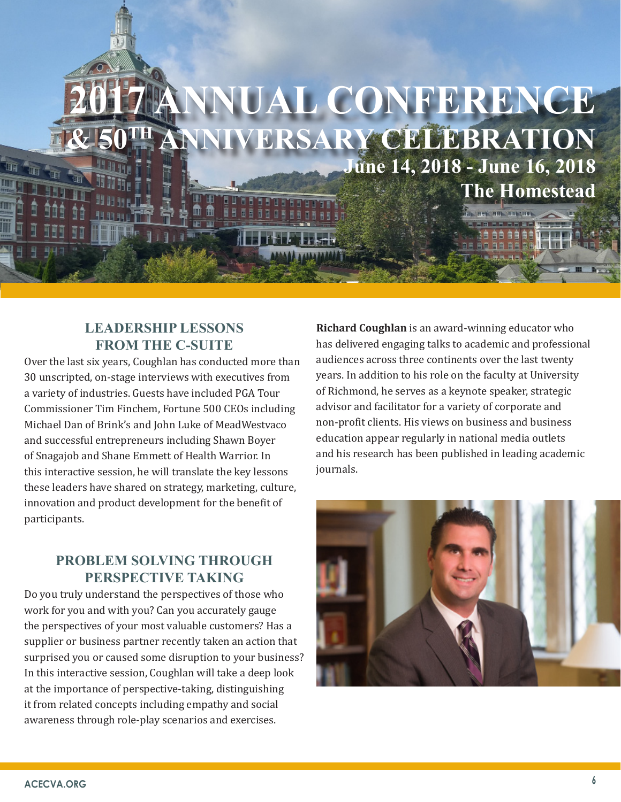

#### **LEADERSHIP LESSONS FROM THE C-SUITE**

Over the last six years, Coughlan has conducted more than 30 unscripted, on-stage interviews with executives from a variety of industries. Guests have included PGA Tour Commissioner Tim Finchem, Fortune 500 CEOs including Michael Dan of Brink's and John Luke of MeadWestvaco and successful entrepreneurs including Shawn Boyer of Snagajob and Shane Emmett of Health Warrior. In this interactive session, he will translate the key lessons these leaders have shared on strategy, marketing, culture, innovation and product development for the benefit of participants.

### **PROBLEM SOLVING THROUGH PERSPECTIVE TAKING**

Do you truly understand the perspectives of those who work for you and with you? Can you accurately gauge the perspectives of your most valuable customers? Has a supplier or business partner recently taken an action that surprised you or caused some disruption to your business? In this interactive session, Coughlan will take a deep look at the importance of perspective-taking, distinguishing it from related concepts including empathy and social awareness through role-play scenarios and exercises.

**Richard Coughlan** is an award-winning educator who has delivered engaging talks to academic and professional audiences across three continents over the last twenty years. In addition to his role on the faculty at University of Richmond, he serves as a keynote speaker, strategic advisor and facilitator for a variety of corporate and non-profit clients. His views on business and business education appear regularly in national media outlets and his research has been published in leading academic journals.

**The Homestead**

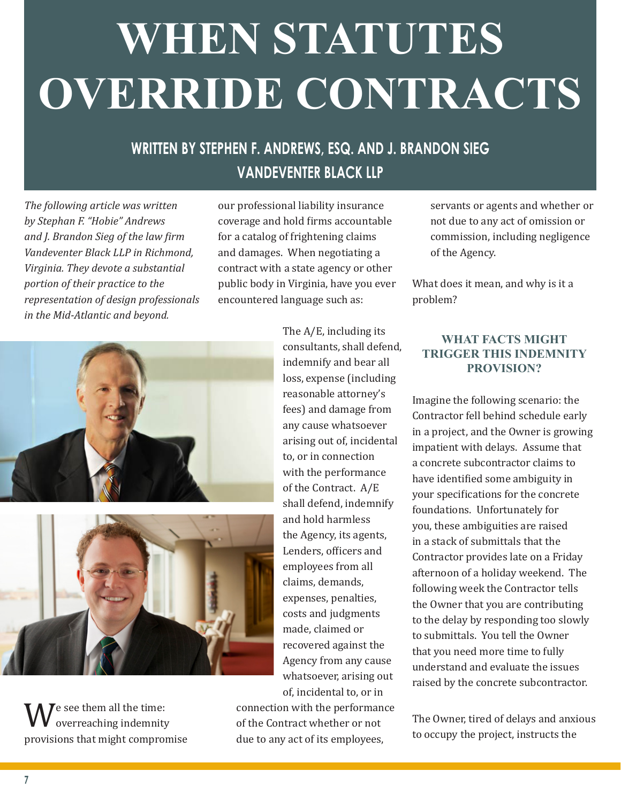# **WHEN STATUTES OVERRIDE CONTRACTS**

# **WRITTEN BY STEPHEN F. ANDREWS, ESQ. AND J. BRANDON SIEG VANDEVENTER BLACK LLP**

*The following article was written by Stephan F. "Hobie" Andrews and J. Brandon Sieg of the law firm Vandeventer Black LLP in Richmond, Virginia. They devote a substantial portion of their practice to the representation of design professionals in the Mid-Atlantic and beyond.*

our professional liability insurance coverage and hold firms accountable for a catalog of frightening claims and damages. When negotiating a contract with a state agency or other public body in Virginia, have you ever encountered language such as:





We see them all the time:<br>provisions that might compromise overreaching indemnity

The A/E, including its consultants, shall defend, indemnify and bear all loss, expense (including reasonable attorney's fees) and damage from any cause whatsoever arising out of, incidental to, or in connection with the performance of the Contract. A/E shall defend, indemnify and hold harmless the Agency, its agents, Lenders, officers and employees from all claims, demands, expenses, penalties, costs and judgments made, claimed or recovered against the Agency from any cause whatsoever, arising out of, incidental to, or in

connection with the performance of the Contract whether or not due to any act of its employees,

servants or agents and whether or not due to any act of omission or commission, including negligence of the Agency.

What does it mean, and why is it a problem?

#### **WHAT FACTS MIGHT TRIGGER THIS INDEMNITY PROVISION?**

Imagine the following scenario: the Contractor fell behind schedule early in a project, and the Owner is growing impatient with delays. Assume that a concrete subcontractor claims to have identified some ambiguity in your specifications for the concrete foundations. Unfortunately for you, these ambiguities are raised in a stack of submittals that the Contractor provides late on a Friday afternoon of a holiday weekend. The following week the Contractor tells the Owner that you are contributing to the delay by responding too slowly to submittals. You tell the Owner that you need more time to fully understand and evaluate the issues raised by the concrete subcontractor.

The Owner, tired of delays and anxious to occupy the project, instructs the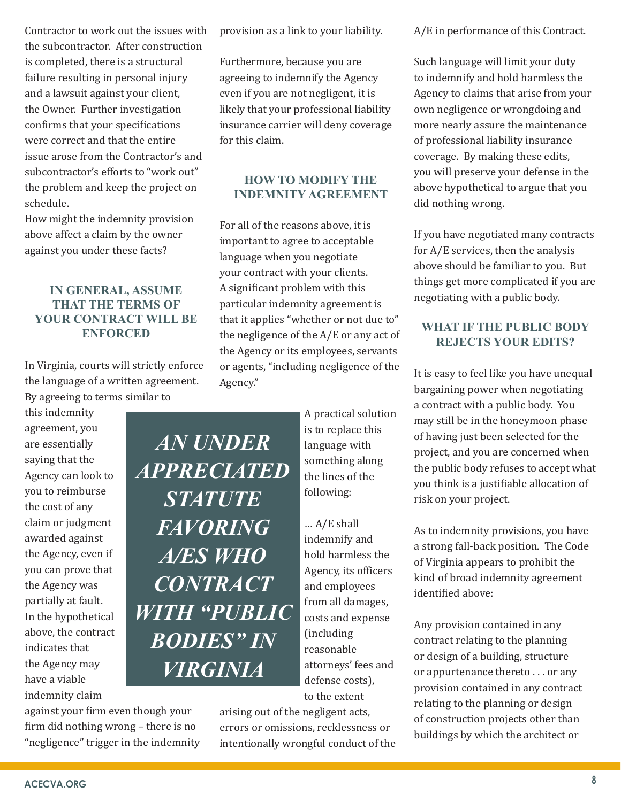Contractor to work out the issues with the subcontractor. After construction is completed, there is a structural failure resulting in personal injury and a lawsuit against your client, the Owner. Further investigation confirms that your specifications were correct and that the entire issue arose from the Contractor's and subcontractor's efforts to "work out" the problem and keep the project on schedule.

How might the indemnity provision above affect a claim by the owner against you under these facts?

#### **IN GENERAL, ASSUME THAT THE TERMS OF YOUR CONTRACT WILL BE ENFORCED**

In Virginia, courts will strictly enforce the language of a written agreement. By agreeing to terms similar to

*AN UNDER* 

*APPRECIATED* 

*STATUTE* 

*FAVORING* 

*A/ES WHO* 

*CONTRACT* 

*WITH "PUBLIC* 

*BODIES" IN* 

*VIRGINIA*

this indemnity agreement, you are essentially saying that the Agency can look to you to reimburse the cost of any claim or judgment awarded against the Agency, even if you can prove that the Agency was partially at fault. In the hypothetical above, the contract indicates that the Agency may have a viable indemnity claim

provision as a link to your liability.

Furthermore, because you are agreeing to indemnify the Agency even if you are not negligent, it is likely that your professional liability insurance carrier will deny coverage for this claim.

#### **HOW TO MODIFY THE INDEMNITY AGREEMENT**

For all of the reasons above, it is important to agree to acceptable language when you negotiate your contract with your clients. A significant problem with this particular indemnity agreement is that it applies "whether or not due to" the negligence of the A/E or any act of the Agency or its employees, servants or agents, "including negligence of the Agency."

> A practical solution is to replace this language with something along the lines of the following:

… A/E shall indemnify and hold harmless the Agency, its officers and employees from all damages, costs and expense (including reasonable attorneys' fees and defense costs), to the extent

arising out of the negligent acts, errors or omissions, recklessness or intentionally wrongful conduct of the A/E in performance of this Contract.

Such language will limit your duty to indemnify and hold harmless the Agency to claims that arise from your own negligence or wrongdoing and more nearly assure the maintenance of professional liability insurance coverage. By making these edits, you will preserve your defense in the above hypothetical to argue that you did nothing wrong.

If you have negotiated many contracts for A/E services, then the analysis above should be familiar to you. But things get more complicated if you are negotiating with a public body.

#### **WHAT IF THE PUBLIC BODY REJECTS YOUR EDITS?**

It is easy to feel like you have unequal bargaining power when negotiating a contract with a public body. You may still be in the honeymoon phase of having just been selected for the project, and you are concerned when the public body refuses to accept what you think is a justifiable allocation of risk on your project.

As to indemnity provisions, you have a strong fall-back position. The Code of Virginia appears to prohibit the kind of broad indemnity agreement identified above:

Any provision contained in any contract relating to the planning or design of a building, structure or appurtenance thereto . . . or any provision contained in any contract relating to the planning or design of construction projects other than buildings by which the architect or

against your firm even though your firm did nothing wrong – there is no "negligence" trigger in the indemnity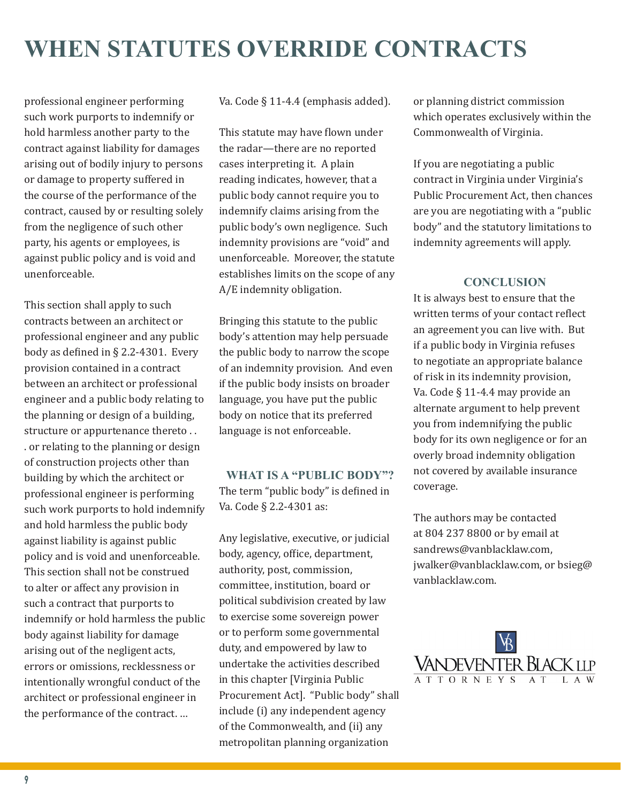# **WHEN STATUTES OVERRIDE CONTRACTS**

professional engineer performing such work purports to indemnify or hold harmless another party to the contract against liability for damages arising out of bodily injury to persons or damage to property suffered in the course of the performance of the contract, caused by or resulting solely from the negligence of such other party, his agents or employees, is against public policy and is void and unenforceable.

This section shall apply to such contracts between an architect or professional engineer and any public body as defined in § 2.2-4301. Every provision contained in a contract between an architect or professional engineer and a public body relating to the planning or design of a building, structure or appurtenance thereto . . . or relating to the planning or design of construction projects other than building by which the architect or professional engineer is performing such work purports to hold indemnify and hold harmless the public body against liability is against public policy and is void and unenforceable. This section shall not be construed to alter or affect any provision in such a contract that purports to indemnify or hold harmless the public body against liability for damage arising out of the negligent acts, errors or omissions, recklessness or intentionally wrongful conduct of the architect or professional engineer in the performance of the contract. …

Va. Code § 11-4.4 (emphasis added).

This statute may have flown under the radar—there are no reported cases interpreting it. A plain reading indicates, however, that a public body cannot require you to indemnify claims arising from the public body's own negligence. Such indemnity provisions are "void" and unenforceable. Moreover, the statute establishes limits on the scope of any A/E indemnity obligation.

Bringing this statute to the public body's attention may help persuade the public body to narrow the scope of an indemnity provision. And even if the public body insists on broader language, you have put the public body on notice that its preferred language is not enforceable.

**WHAT IS A "PUBLIC BODY"?** The term "public body" is defined in Va. Code § 2.2-4301 as:

Any legislative, executive, or judicial body, agency, office, department, authority, post, commission, committee, institution, board or political subdivision created by law to exercise some sovereign power or to perform some governmental duty, and empowered by law to undertake the activities described in this chapter [Virginia Public Procurement Act]. "Public body" shall include (i) any independent agency of the Commonwealth, and (ii) any metropolitan planning organization

or planning district commission which operates exclusively within the Commonwealth of Virginia.

If you are negotiating a public contract in Virginia under Virginia's Public Procurement Act, then chances are you are negotiating with a "public body" and the statutory limitations to indemnity agreements will apply.

#### **CONCLUSION**

It is always best to ensure that the written terms of your contact reflect an agreement you can live with. But if a public body in Virginia refuses to negotiate an appropriate balance of risk in its indemnity provision, Va. Code § 11-4.4 may provide an alternate argument to help prevent you from indemnifying the public body for its own negligence or for an overly broad indemnity obligation not covered by available insurance coverage.

The authors may be contacted at 804 237 8800 or by email at sandrews@vanblacklaw.com, jwalker@vanblacklaw.com, or bsieg@ vanblacklaw.com.